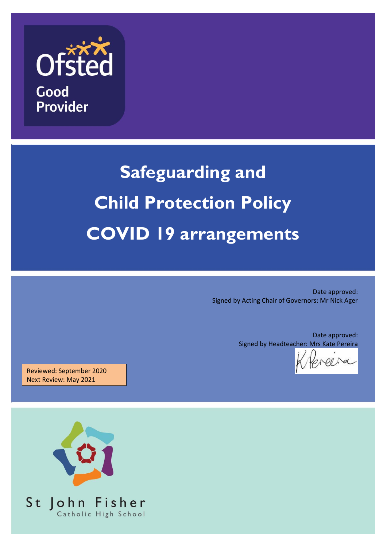

# **Safeguarding and Child Protection Policy COVID 19 arrangements**

Date approved: Signed by Acting Chair of Governors: Mr Nick Ager

> Date approved: Signed by Headteacher: Mrs Kate Pereira

Reviewed: September 2020 Next Review: May 2021

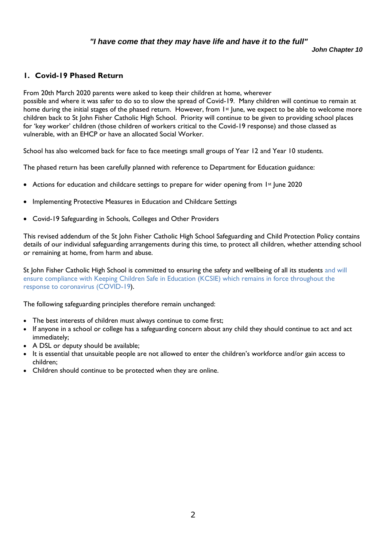#### *"I have come that they may have life and have it to the full"*

*John Chapter 10*

#### **1. Covid-19 Phased Return**

From 20th March 2020 parents were asked to keep their children at home, wherever possible and where it was safer to do so to slow the spread of Covid-19. Many children will continue to remain at home during the initial stages of the phased return. However, from 1<sup>st</sup> June, we expect to be able to welcome more children back to St John Fisher Catholic High School. Priority will continue to be given to providing school places for 'key worker' children (those children of workers critical to the Covid-19 response) and those classed as vulnerable, with an EHCP or have an allocated Social Worker.

School has also welcomed back for face to face meetings small groups of Year 12 and Year 10 students.

The phased return has been carefully planned with reference to Department for Education guidance:

- Actions for education and childcare settings to prepare for wider opening from  $1st$  June 2020
- Implementing Protective Measures in Education and Childcare Settings
- Covid-19 Safeguarding in Schools, Colleges and Other Providers

This revised addendum of the St John Fisher Catholic High School Safeguarding and Child Protection Policy contains details of our individual safeguarding arrangements during this time, to protect all children, whether attending school or remaining at home, from harm and abuse.

St John Fisher Catholic High School is committed to ensuring the safety and wellbeing of all its students and will ensure compliance with Keeping Children Safe in Education (KCSIE) which remains in force throughout the response to coronavirus (COVID-19).

The following safeguarding principles therefore remain unchanged:

- The best interests of children must always continue to come first;
- If anyone in a school or college has a safeguarding concern about any child they should continue to act and act immediately;
- A DSL or deputy should be available;
- It is essential that unsuitable people are not allowed to enter the children's workforce and/or gain access to children;
- Children should continue to be protected when they are online.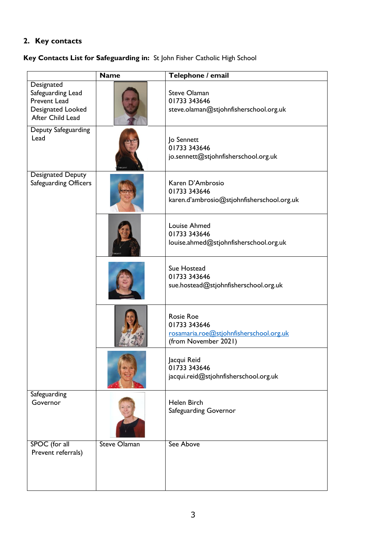## **2. Key contacts**

## **Key Contacts List for Safeguarding in:** St John Fisher Catholic High School

|                                                                                                        | <b>Name</b>         | Telephone / email                                                                                   |
|--------------------------------------------------------------------------------------------------------|---------------------|-----------------------------------------------------------------------------------------------------|
| Designated<br>Safeguarding Lead<br><b>Prevent Lead</b><br><b>Designated Looked</b><br>After Child Lead |                     | <b>Steve Olaman</b><br>01733 343646<br>steve.olaman@stjohnfisherschool.org.uk                       |
| Deputy Safeguarding<br>Lead                                                                            |                     | Jo Sennett<br>01733 343646<br>jo.sennett@stjohnfisherschool.org.uk                                  |
| <b>Designated Deputy</b><br>Safeguarding Officers                                                      |                     | Karen D'Ambrosio<br>01733 343646<br>karen.d'ambrosio@stjohnfisherschool.org.uk                      |
|                                                                                                        |                     | <b>Louise Ahmed</b><br>01733 343646<br>louise.ahmed@stjohnfisherschool.org.uk                       |
|                                                                                                        |                     | Sue Hostead<br>01733 343646<br>sue.hostead@stjohnfisherschool.org.uk                                |
|                                                                                                        |                     | <b>Rosie Roe</b><br>01733 343646<br>rosamaria.roe@stjohnfisherschool.org.uk<br>(from November 2021) |
|                                                                                                        |                     | Jacqui Reid<br>01733 343646<br>jacqui.reid@stjohnfisherschool.org.uk                                |
| Safeguarding<br>Governor                                                                               |                     | Helen Birch<br>Safeguarding Governor                                                                |
| SPOC (for all<br>Prevent referrals)                                                                    | <b>Steve Olaman</b> | See Above                                                                                           |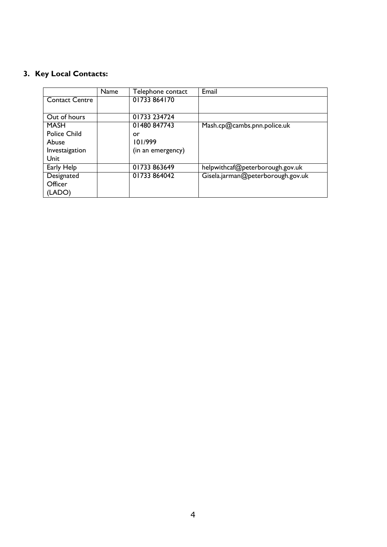## **3. Key Local Contacts:**

|                       | Name | Telephone contact | Email                             |
|-----------------------|------|-------------------|-----------------------------------|
| <b>Contact Centre</b> |      | 01733 864170      |                                   |
|                       |      |                   |                                   |
| Out of hours          |      | 01733 234724      |                                   |
| <b>MASH</b>           |      | 01480 847743      | Mash.cp@cambs.pnn.police.uk       |
| <b>Police Child</b>   |      | or                |                                   |
| Abuse                 |      | 101/999           |                                   |
| Investaigation        |      | (in an emergency) |                                   |
| Unit                  |      |                   |                                   |
| Early Help            |      | 01733863649       | helpwithcaf@peterborough.gov.uk   |
| Designated            |      | 01733 864042      | Gisela.jarman@peterborough.gov.uk |
| Officer               |      |                   |                                   |
| (LADO)                |      |                   |                                   |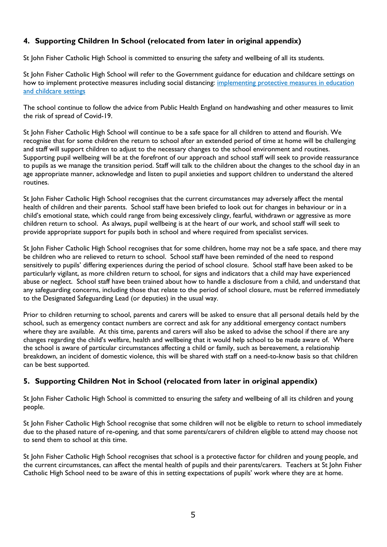### **4. Supporting Children In School (relocated from later in original appendix)**

St John Fisher Catholic High School is committed to ensuring the safety and wellbeing of all its students.

St John Fisher Catholic High School will refer to the Government guidance for education and childcare settings on how to implement protective measures including social distancing: [implementing protective measures in education](https://www.gov.uk/government/publications/coronavirus-covid-19-implementing-protective-measures-in-education-and-childcare-settings)  [and childcare settings](https://www.gov.uk/government/publications/coronavirus-covid-19-implementing-protective-measures-in-education-and-childcare-settings)

The school continue to follow the advice from Public Health England on handwashing and other measures to limit the risk of spread of Covid-19.

St John Fisher Catholic High School will continue to be a safe space for all children to attend and flourish. We recognise that for some children the return to school after an extended period of time at home will be challenging and staff will support children to adjust to the necessary changes to the school environment and routines. Supporting pupil wellbeing will be at the forefront of our approach and school staff will seek to provide reassurance to pupils as we manage the transition period. Staff will talk to the children about the changes to the school day in an age appropriate manner, acknowledge and listen to pupil anxieties and support children to understand the altered routines.

St John Fisher Catholic High School recognises that the current circumstances may adversely affect the mental health of children and their parents. School staff have been briefed to look out for changes in behaviour or in a child's emotional state, which could range from being excessively clingy, fearful, withdrawn or aggressive as more children return to school. As always, pupil wellbeing is at the heart of our work, and school staff will seek to provide appropriate support for pupils both in school and where required from specialist services.

St John Fisher Catholic High School recognises that for some children, home may not be a safe space, and there may be children who are relieved to return to school. School staff have been reminded of the need to respond sensitively to pupils' differing experiences during the period of school closure. School staff have been asked to be particularly vigilant, as more children return to school, for signs and indicators that a child may have experienced abuse or neglect. School staff have been trained about how to handle a disclosure from a child, and understand that any safeguarding concerns, including those that relate to the period of school closure, must be referred immediately to the Designated Safeguarding Lead (or deputies) in the usual way.

Prior to children returning to school, parents and carers will be asked to ensure that all personal details held by the school, such as emergency contact numbers are correct and ask for any additional emergency contact numbers where they are available. At this time, parents and carers will also be asked to advise the school if there are any changes regarding the child's welfare, health and wellbeing that it would help school to be made aware of. Where the school is aware of particular circumstances affecting a child or family, such as bereavement, a relationship breakdown, an incident of domestic violence, this will be shared with staff on a need-to-know basis so that children can be best supported.

#### **5. Supporting Children Not in School (relocated from later in original appendix)**

St John Fisher Catholic High School is committed to ensuring the safety and wellbeing of all its children and young people.

St John Fisher Catholic High School recognise that some children will not be eligible to return to school immediately due to the phased nature of re-opening, and that some parents/carers of children eligible to attend may choose not to send them to school at this time.

St John Fisher Catholic High School recognises that school is a protective factor for children and young people, and the current circumstances, can affect the mental health of pupils and their parents/carers. Teachers at St John Fisher Catholic High School need to be aware of this in setting expectations of pupils' work where they are at home.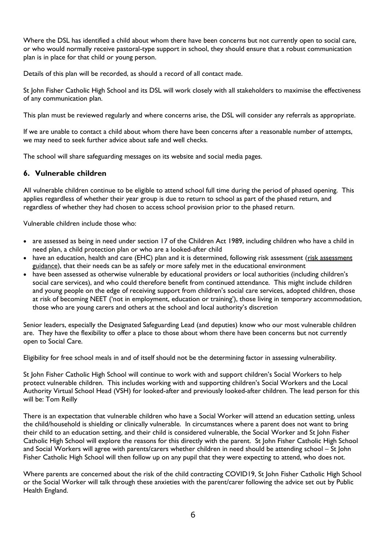Where the DSL has identified a child about whom there have been concerns but not currently open to social care, or who would normally receive pastoral-type support in school, they should ensure that a robust communication plan is in place for that child or young person.

Details of this plan will be recorded, as should a record of all contact made.

St John Fisher Catholic High School and its DSL will work closely with all stakeholders to maximise the effectiveness of any communication plan.

This plan must be reviewed regularly and where concerns arise, the DSL will consider any referrals as appropriate.

If we are unable to contact a child about whom there have been concerns after a reasonable number of attempts, we may need to seek further advice about safe and well checks.

The school will share safeguarding messages on its website and social media pages.

#### **6. Vulnerable children**

All vulnerable children continue to be eligible to attend school full time during the period of phased opening. This applies regardless of whether their year group is due to return to school as part of the phased return, and regardless of whether they had chosen to access school provision prior to the phased return.

Vulnerable children include those who:

- are assessed as being in need under section 17 of the Children Act 1989, including children who have a child in need plan, a child protection plan or who are a looked-after child
- have an education, health and care (EHC) plan and it is determined, following risk assessment (risk assessment [guidance\)](https://www.gov.uk/government/publications/coronavirus-covid-19-send-risk-assessment-guidance/coronavirus-covid-19-send-risk-assessment-guidance), that their needs can be as safely or more safely met in the educational environment
- have been assessed as otherwise vulnerable by educational providers or local authorities (including children's social care services), and who could therefore benefit from continued attendance. This might include children and young people on the edge of receiving support from children's social care services, adopted children, those at risk of becoming NEET ('not in employment, education or training'), those living in temporary accommodation, those who are young carers and others at the school and local authority's discretion

Senior leaders, especially the Designated Safeguarding Lead (and deputies) know who our most vulnerable children are. They have the flexibility to offer a place to those about whom there have been concerns but not currently open to Social Care.

Eligibility for free school meals in and of itself should not be the determining factor in assessing vulnerability.

St John Fisher Catholic High School will continue to work with and support children's Social Workers to help protect vulnerable children. This includes working with and supporting children's Social Workers and the Local Authority Virtual School Head (VSH) for looked-after and previously looked-after children. The lead person for this will be: Tom Reilly

There is an expectation that vulnerable children who have a Social Worker will attend an education setting, unless the child/household is shielding or clinically vulnerable. In circumstances where a parent does not want to bring their child to an education setting, and their child is considered vulnerable, the Social Worker and St John Fisher Catholic High School will explore the reasons for this directly with the parent. St John Fisher Catholic High School and Social Workers will agree with parents/carers whether children in need should be attending school – St John Fisher Catholic High School will then follow up on any pupil that they were expecting to attend, who does not.

Where parents are concerned about the risk of the child contracting COVID19, St John Fisher Catholic High School or the Social Worker will talk through these anxieties with the parent/carer following the advice set out by Public Health England.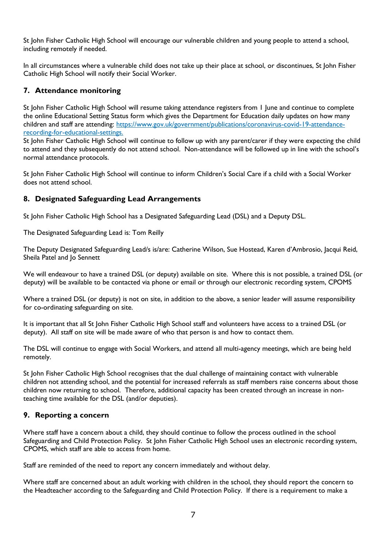St John Fisher Catholic High School will encourage our vulnerable children and young people to attend a school, including remotely if needed.

In all circumstances where a vulnerable child does not take up their place at school, or discontinues, St John Fisher Catholic High School will notify their Social Worker.

#### **7. Attendance monitoring**

St John Fisher Catholic High School will resume taking attendance registers from 1 June and continue to complete the online Educational Setting Status form which gives the Department for Education daily updates on how many children and staff are attending: [https://www.gov.uk/government/publications/coronavirus-covid-19-attendance](https://www.gov.uk/government/publications/coronavirus-covid-19-attendance-recording-for-educational-settings)[recording-for-educational-settings.](https://www.gov.uk/government/publications/coronavirus-covid-19-attendance-recording-for-educational-settings)

St John Fisher Catholic High School will continue to follow up with any parent/carer if they were expecting the child to attend and they subsequently do not attend school. Non-attendance will be followed up in line with the school's normal attendance protocols.

St John Fisher Catholic High School will continue to inform Children's Social Care if a child with a Social Worker does not attend school.

#### **8. Designated Safeguarding Lead Arrangements**

St John Fisher Catholic High School has a Designated Safeguarding Lead (DSL) and a Deputy DSL.

The Designated Safeguarding Lead is: Tom Reilly

The Deputy Designated Safeguarding Lead/s is/are: Catherine Wilson, Sue Hostead, Karen d'Ambrosio, Jacqui Reid, Sheila Patel and Jo Sennett

We will endeavour to have a trained DSL (or deputy) available on site. Where this is not possible, a trained DSL (or deputy) will be available to be contacted via phone or email or through our electronic recording system, CPOMS

Where a trained DSL (or deputy) is not on site, in addition to the above, a senior leader will assume responsibility for co-ordinating safeguarding on site.

It is important that all St John Fisher Catholic High School staff and volunteers have access to a trained DSL (or deputy). All staff on site will be made aware of who that person is and how to contact them.

The DSL will continue to engage with Social Workers, and attend all multi-agency meetings, which are being held remotely.

St John Fisher Catholic High School recognises that the dual challenge of maintaining contact with vulnerable children not attending school, and the potential for increased referrals as staff members raise concerns about those children now returning to school. Therefore, additional capacity has been created through an increase in nonteaching time available for the DSL (and/or deputies).

#### **9. Reporting a concern**

Where staff have a concern about a child, they should continue to follow the process outlined in the school Safeguarding and Child Protection Policy. St John Fisher Catholic High School uses an electronic recording system, CPOMS, which staff are able to access from home.

Staff are reminded of the need to report any concern immediately and without delay.

Where staff are concerned about an adult working with children in the school, they should report the concern to the Headteacher according to the Safeguarding and Child Protection Policy. If there is a requirement to make a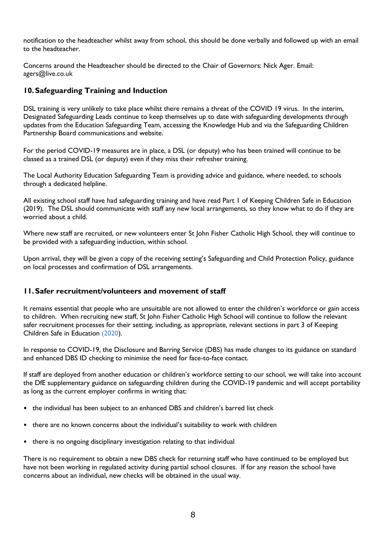notification to the headteacher whilst away from school, this should be done verbally and followed up with an email to the headteacher.

Concerns around the Headteacher should be directed to the Chair of Governors: Nick Ager. Email: agers@live.co.uk

#### **10.Safeguarding Training and Induction**

DSL training is very unlikely to take place whilst there remains a threat of the COVID 19 virus. In the interim, Designated Safeguarding Leads continue to keep themselves up to date with safeguarding developments through updates from the Education Safeguarding Team, accessing the Knowledge Hub and via the Safeguarding Children Partnership Board communications and website.

For the period COVID-19 measures are in place, a DSL (or deputy) who has been trained will continue to be classed as a trained DSL (or deputy) even if they miss their refresher training.

The Local Authority Education Safeguarding Team is providing advice and guidance, where needed, to schools through a dedicated helpline.

All existing school staff have had safeguarding training and have read Part 1 of Keeping Children Safe in Education (2019). The DSL should communicate with staff any new local arrangements, so they know what to do if they are worried about a child.

Where new staff are recruited, or new volunteers enter St John Fisher Catholic High School, they will continue to be provided with a safeguarding induction, within school.

Upon arrival, they will be given a copy of the receiving setting's Safeguarding and Child Protection Policy, guidance on local processes and confirmation of DSL arrangements.

#### **11.Safer recruitment/volunteers and movement of staff**

It remains essential that people who are unsuitable are not allowed to enter the children's workforce or gain access to children. When recruiting new staff, St John Fisher Catholic High School will continue to follow the relevant safer recruitment processes for their setting, including, as appropriate, relevant sections in part 3 of Keeping Children Safe in Education (2020).

In response to COVID-19, the Disclosure and Barring Service (DBS) has made changes to its guidance on standard and enhanced DBS ID checking to minimise the need for face-to-face contact.

If staff are deployed from another education or children's workforce setting to our school, we will take into account the DfE supplementary guidance on safeguarding children during the COVID-19 pandemic and will accept portability as long as the current employer confirms in writing that:

- the individual has been subject to an enhanced DBS and children's barred list check
- there are no known concerns about the individual's suitability to work with children
- there is no ongoing disciplinary investigation relating to that individual

There is no requirement to obtain a new DBS check for returning staff who have continued to be employed but have not been working in regulated activity during partial school closures. If for any reason the school have concerns about an individual, new checks will be obtained in the usual way.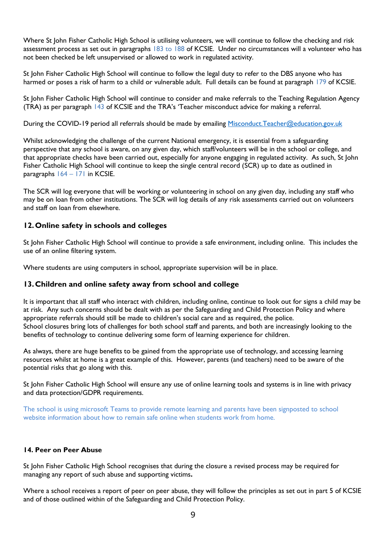Where St John Fisher Catholic High School is utilising volunteers, we will continue to follow the checking and risk assessment process as set out in paragraphs 183 to 188 of KCSIE. Under no circumstances will a volunteer who has not been checked be left unsupervised or allowed to work in regulated activity.

St John Fisher Catholic High School will continue to follow the legal duty to refer to the DBS anyone who has harmed or poses a risk of harm to a child or vulnerable adult. Full details can be found at paragraph 179 of KCSIE.

St John Fisher Catholic High School will continue to consider and make referrals to the Teaching Regulation Agency (TRA) as per paragraph 143 of KCSIE and the TRA's 'Teacher misconduct advice for making a referral.

During the COVID-19 period all referrals should be made by emailing [Misconduct.Teacher@education.gov.uk](mailto:Misconduct.Teacher@education.gov.uk)

Whilst acknowledging the challenge of the current National emergency, it is essential from a safeguarding perspective that any school is aware, on any given day, which staff/volunteers will be in the school or college, and that appropriate checks have been carried out, especially for anyone engaging in regulated activity. As such, St John Fisher Catholic High School will continue to keep the single central record (SCR) up to date as outlined in paragraphs 164 – 171 in KCSIE.

The SCR will log everyone that will be working or volunteering in school on any given day, including any staff who may be on loan from other institutions. The SCR will log details of any risk assessments carried out on volunteers and staff on loan from elsewhere.

#### **12.Online safety in schools and colleges**

St John Fisher Catholic High School will continue to provide a safe environment, including online. This includes the use of an online filtering system.

Where students are using computers in school, appropriate supervision will be in place.

#### **13.Children and online safety away from school and college**

It is important that all staff who interact with children, including online, continue to look out for signs a child may be at risk. Any such concerns should be dealt with as per the Safeguarding and Child Protection Policy and where appropriate referrals should still be made to children's social care and as required, the police. School closures bring lots of challenges for both school staff and parents, and both are increasingly looking to the benefits of technology to continue delivering some form of learning experience for children.

As always, there are huge benefits to be gained from the appropriate use of technology, and accessing learning resources whilst at home is a great example of this. However, parents (and teachers) need to be aware of the potential risks that go along with this.

St John Fisher Catholic High School will ensure any use of online learning tools and systems is in line with privacy and data protection/GDPR requirements.

The school is using microsoft Teams to provide remote learning and parents have been signposted to school website information about how to remain safe online when students work from home.

#### **14. Peer on Peer Abuse**

St John Fisher Catholic High School recognises that during the closure a revised process may be required for managing any report of such abuse and supporting victims**.** 

Where a school receives a report of peer on peer abuse, they will follow the principles as set out in part 5 of KCSIE and of those outlined within of the Safeguarding and Child Protection Policy.